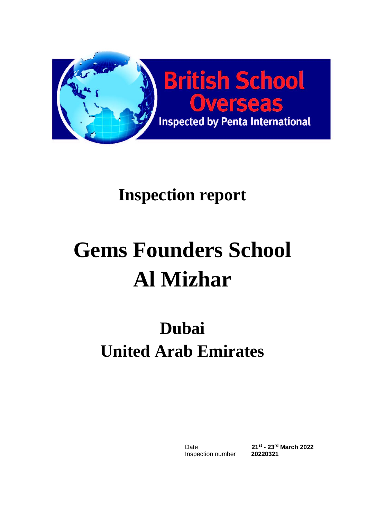

# **Gems Founders School Al Mizhar**

## **Dubai United Arab Emirates**

Date Inspection number **20220321**

**- 23rd March 2022**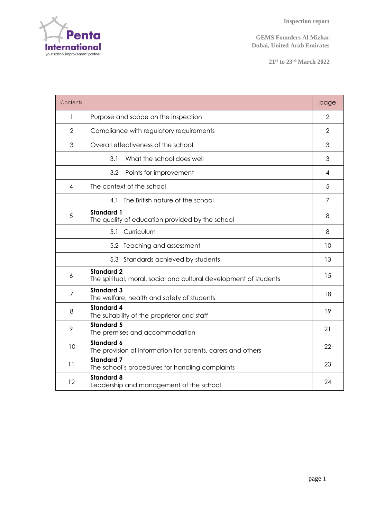

**21 st to 23rd March 2022**

| Contents       |                                                                                        | page |  |  |  |  |
|----------------|----------------------------------------------------------------------------------------|------|--|--|--|--|
| 1              | Purpose and scope on the inspection                                                    |      |  |  |  |  |
| $\overline{2}$ | Compliance with regulatory requirements                                                |      |  |  |  |  |
| 3              | Overall effectiveness of the school                                                    |      |  |  |  |  |
|                | What the school does well<br>3.1                                                       | 3    |  |  |  |  |
|                | 3.2<br>Points for improvement                                                          | 4    |  |  |  |  |
| 4              | The context of the school                                                              | 5    |  |  |  |  |
|                | 4.1 The British nature of the school                                                   | 7    |  |  |  |  |
| 5              | <b>Standard 1</b><br>The quality of education provided by the school                   | 8    |  |  |  |  |
|                | Curriculum<br>5.1                                                                      | 8    |  |  |  |  |
|                | 5.2 Teaching and assessment                                                            | 10   |  |  |  |  |
|                | 5.3 Standards achieved by students                                                     | 13   |  |  |  |  |
| 6              | <b>Standard 2</b><br>The spiritual, moral, social and cultural development of students | 15   |  |  |  |  |
| $\overline{7}$ | <b>Standard 3</b><br>The welfare, health and safety of students                        | 18   |  |  |  |  |
| 8              | <b>Standard 4</b><br>The suitability of the proprietor and staff                       | 19   |  |  |  |  |
| 9              | <b>Standard 5</b><br>The premises and accommodation                                    | 21   |  |  |  |  |
| 10             | <b>Standard 6</b><br>The provision of information for parents, carers and others       | 22   |  |  |  |  |
| 11             | <b>Standard 7</b><br>The school's procedures for handling complaints                   | 23   |  |  |  |  |
| 12             | <b>Standard 8</b><br>Leadership and management of the school                           | 24   |  |  |  |  |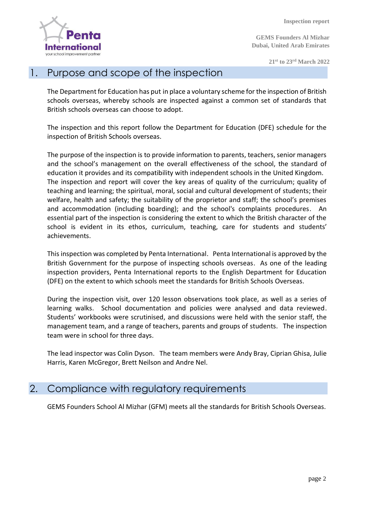

**GEMS Founders Al Mizhar Dubai, United Arab Emirates**

**21 st to 23rd March 2022**

#### 1. Purpose and scope of the inspection

The Department for Education has put in place a voluntary scheme for the inspection of British schools overseas, whereby schools are inspected against a common set of standards that British schools overseas can choose to adopt.

The inspection and this report follow the Department for Education (DFE) schedule for the inspection of British Schools overseas.

The purpose of the inspection is to provide information to parents, teachers, senior managers and the school's management on the overall effectiveness of the school, the standard of education it provides and its compatibility with independent schools in the United Kingdom. The inspection and report will cover the key areas of quality of the curriculum; quality of teaching and learning; the spiritual, moral, social and cultural development of students; their welfare, health and safety; the suitability of the proprietor and staff; the school's premises and accommodation (including boarding); and the school's complaints procedures. An essential part of the inspection is considering the extent to which the British character of the school is evident in its ethos, curriculum, teaching, care for students and students' achievements.

This inspection was completed by Penta International. Penta International is approved by the British Government for the purpose of inspecting schools overseas. As one of the leading inspection providers, Penta International reports to the English Department for Education (DFE) on the extent to which schools meet the standards for British Schools Overseas.

During the inspection visit, over 120 lesson observations took place, as well as a series of learning walks. School documentation and policies were analysed and data reviewed. Students' workbooks were scrutinised, and discussions were held with the senior staff, the management team, and a range of teachers, parents and groups of students. The inspection team were in school for three days.

The lead inspector was Colin Dyson. The team members were Andy Bray, Ciprian Ghisa, Julie Harris, Karen McGregor, Brett Neilson and Andre Nel.

#### 2. Compliance with regulatory requirements

GEMS Founders School Al Mizhar (GFM) meets all the standards for British Schools Overseas.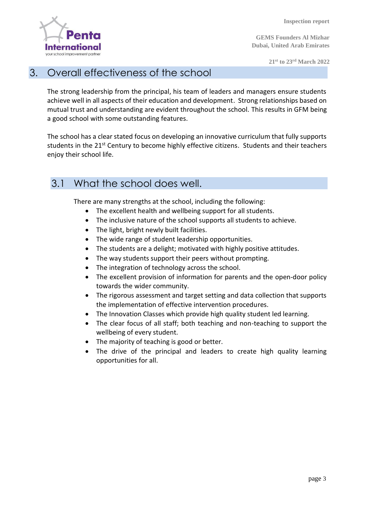

**GEMS Founders Al Mizhar Dubai, United Arab Emirates**

**21 st to 23rd March 2022**

#### 3. Overall effectiveness of the school

The strong leadership from the principal, his team of leaders and managers ensure students achieve well in all aspects of their education and development. Strong relationships based on mutual trust and understanding are evident throughout the school. This results in GFM being a good school with some outstanding features.

The school has a clear stated focus on developing an innovative curriculum that fully supports students in the 21<sup>st</sup> Century to become highly effective citizens. Students and their teachers enjoy their school life.

#### 3.1 What the school does well.

There are many strengths at the school, including the following:

- The excellent health and wellbeing support for all students.
- The inclusive nature of the school supports all students to achieve.
- The light, bright newly built facilities.
- The wide range of student leadership opportunities.
- The students are a delight; motivated with highly positive attitudes.
- The way students support their peers without prompting.
- The integration of technology across the school.
- The excellent provision of information for parents and the open-door policy towards the wider community.
- The rigorous assessment and target setting and data collection that supports the implementation of effective intervention procedures.
- The Innovation Classes which provide high quality student led learning.
- The clear focus of all staff; both teaching and non-teaching to support the wellbeing of every student.
- The majority of teaching is good or better.
- The drive of the principal and leaders to create high quality learning opportunities for all.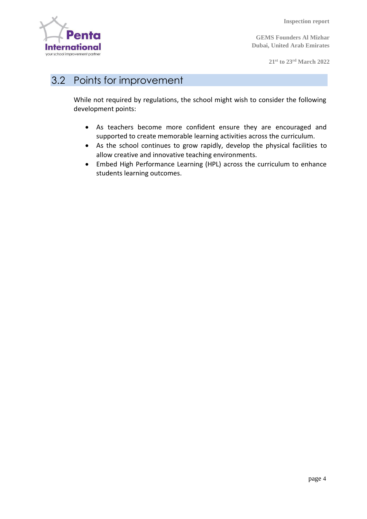

**GEMS Founders Al Mizhar Dubai, United Arab Emirates**

**21 st to 23rd March 2022**

#### 3.2 Points for improvement

While not required by regulations, the school might wish to consider the following development points:

- As teachers become more confident ensure they are encouraged and supported to create memorable learning activities across the curriculum.
- As the school continues to grow rapidly, develop the physical facilities to allow creative and innovative teaching environments.
- Embed High Performance Learning (HPL) across the curriculum to enhance students learning outcomes.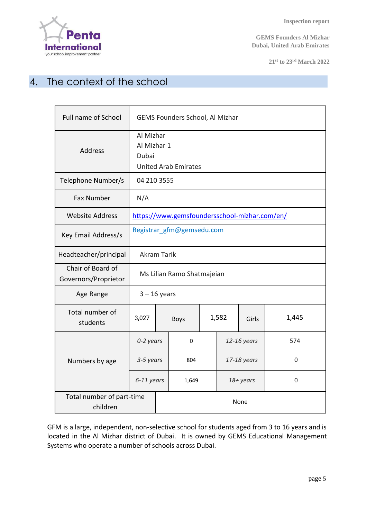

**21 st to 23rd March 2022**

### 4. The context of the school

| <b>Full name of School</b>                | GEMS Founders School, Al Mizhar                                  |  |             |  |             |             |          |
|-------------------------------------------|------------------------------------------------------------------|--|-------------|--|-------------|-------------|----------|
| Address                                   | Al Mizhar<br>Al Mizhar 1<br>Dubai<br><b>United Arab Emirates</b> |  |             |  |             |             |          |
| Telephone Number/s                        | 04 210 3555                                                      |  |             |  |             |             |          |
| <b>Fax Number</b>                         | N/A                                                              |  |             |  |             |             |          |
| <b>Website Address</b>                    | https://www.gemsfoundersschool-mizhar.com/en/                    |  |             |  |             |             |          |
| Key Email Address/s                       | Registrar gfm@gemsedu.com                                        |  |             |  |             |             |          |
| Headteacher/principal                     | <b>Akram Tarik</b>                                               |  |             |  |             |             |          |
| Chair of Board of<br>Governors/Proprietor | Ms Lilian Ramo Shatmajeian                                       |  |             |  |             |             |          |
| Age Range                                 | $3 - 16$ years                                                   |  |             |  |             |             |          |
| Total number of<br>students               | 3,027                                                            |  | <b>Boys</b> |  | 1,582       | Girls       | 1,445    |
|                                           | 0-2 years                                                        |  | 0           |  |             | 12-16 years | 574      |
| Numbers by age                            | 3-5 years                                                        |  | 804         |  | 17-18 years |             | $\Omega$ |
|                                           | 6-11 years                                                       |  | 1,649       |  | 18+ years   |             | $\Omega$ |
| Total number of part-time<br>children     |                                                                  |  | None        |  |             |             |          |

GFM is a large, independent, non-selective school for students aged from 3 to 16 years and is located in the Al Mizhar district of Dubai. It is owned by GEMS Educational Management Systems who operate a number of schools across Dubai.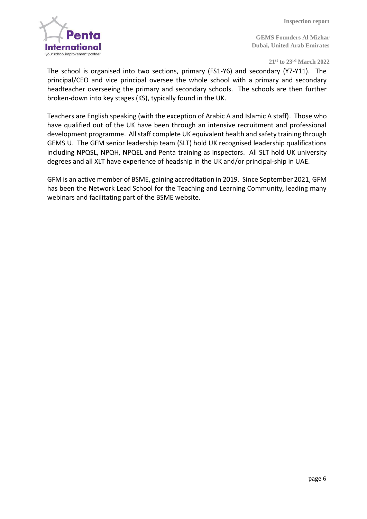

**21 st to 23rd March 2022**

The school is organised into two sections, primary (FS1-Y6) and secondary (Y7-Y11). The principal/CEO and vice principal oversee the whole school with a primary and secondary headteacher overseeing the primary and secondary schools. The schools are then further broken-down into key stages (KS), typically found in the UK.

Teachers are English speaking (with the exception of Arabic A and Islamic A staff). Those who have qualified out of the UK have been through an intensive recruitment and professional development programme. All staff complete UK equivalent health and safety training through GEMS U. The GFM senior leadership team (SLT) hold UK recognised leadership qualifications including NPQSL, NPQH, NPQEL and Penta training as inspectors. All SLT hold UK university degrees and all XLT have experience of headship in the UK and/or principal-ship in UAE.

GFM is an active member of BSME, gaining accreditation in 2019. Since September 2021, GFM has been the Network Lead School for the Teaching and Learning Community, leading many webinars and facilitating part of the BSME website.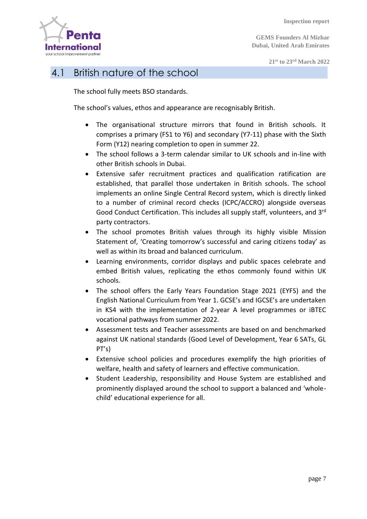

#### 4.1 British nature of the school

The school fully meets BSO standards.

The school's values, ethos and appearance are recognisably British.

- The organisational structure mirrors that found in British schools. It comprises a primary (FS1 to Y6) and secondary (Y7-11) phase with the Sixth Form (Y12) nearing completion to open in summer 22.
- The school follows a 3-term calendar similar to UK schools and in-line with other British schools in Dubai.
- Extensive safer recruitment practices and qualification ratification are established, that parallel those undertaken in British schools. The school implements an online Single Central Record system, which is directly linked to a number of criminal record checks (ICPC/ACCRO) alongside overseas Good Conduct Certification. This includes all supply staff, volunteers, and 3<sup>rd</sup> party contractors.
- The school promotes British values through its highly visible Mission Statement of, 'Creating tomorrow's successful and caring citizens today' as well as within its broad and balanced curriculum.
- Learning environments, corridor displays and public spaces celebrate and embed British values, replicating the ethos commonly found within UK schools.
- The school offers the Early Years Foundation Stage 2021 (EYFS) and the English National Curriculum from Year 1. GCSE's and IGCSE's are undertaken in KS4 with the implementation of 2-year A level programmes or iBTEC vocational pathways from summer 2022.
- Assessment tests and Teacher assessments are based on and benchmarked against UK national standards (Good Level of Development, Year 6 SATs, GL PT's)
- Extensive school policies and procedures exemplify the high priorities of welfare, health and safety of learners and effective communication.
- Student Leadership, responsibility and House System are established and prominently displayed around the school to support a balanced and 'wholechild' educational experience for all.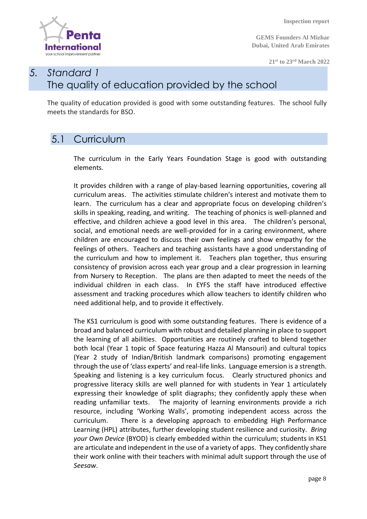

**GEMS Founders Al Mizhar Dubai, United Arab Emirates**

**21 st to 23rd March 2022**

#### *5. Standard 1* The quality of education provided by the school

The quality of education provided is good with some outstanding features. The school fully meets the standards for BSO.

#### 5.1 Curriculum

The curriculum in the Early Years Foundation Stage is good with outstanding elements.

It provides children with a range of play-based learning opportunities, covering all curriculum areas. The activities stimulate children's interest and motivate them to learn. The curriculum has a clear and appropriate focus on developing children's skills in speaking, reading, and writing. The teaching of phonics is well-planned and effective, and children achieve a good level in this area. The children's personal, social, and emotional needs are well-provided for in a caring environment, where children are encouraged to discuss their own feelings and show empathy for the feelings of others. Teachers and teaching assistants have a good understanding of the curriculum and how to implement it. Teachers plan together, thus ensuring consistency of provision across each year group and a clear progression in learning from Nursery to Reception. The plans are then adapted to meet the needs of the individual children in each class. In EYFS the staff have introduced effective assessment and tracking procedures which allow teachers to identify children who need additional help, and to provide it effectively.

The KS1 curriculum is good with some outstanding features. There is evidence of a broad and balanced curriculum with robust and detailed planning in place to support the learning of all abilities. Opportunities are routinely crafted to blend together both local (Year 1 topic of Space featuring Hazza Al Mansouri) and cultural topics (Year 2 study of Indian/British landmark comparisons) promoting engagement through the use of 'class experts' and real-life links. Language emersion is a strength. Speaking and listening is a key curriculum focus. Clearly structured phonics and progressive literacy skills are well planned for with students in Year 1 articulately expressing their knowledge of split diagraphs; they confidently apply these when reading unfamiliar texts. The majority of learning environments provide a rich resource, including 'Working Walls', promoting independent access across the curriculum. There is a developing approach to embedding High Performance Learning (HPL) attributes, further developing student resilience and curiosity. *Bring your Own Device* (BYOD) is clearly embedded within the curriculum; students in KS1 are articulate and independent in the use of a variety of apps. They confidently share their work online with their teachers with minimal adult support through the use of *Seesaw*.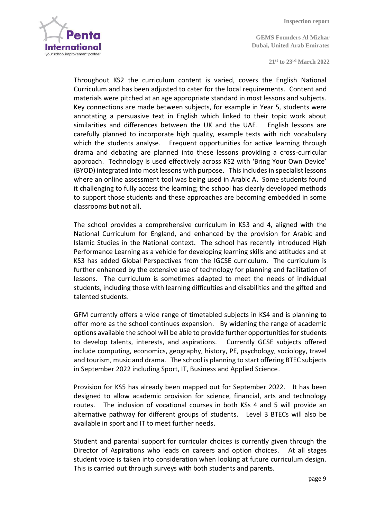

**21 st to 23rd March 2022**

Throughout KS2 the curriculum content is varied, covers the English National Curriculum and has been adjusted to cater for the local requirements. Content and materials were pitched at an age appropriate standard in most lessons and subjects. Key connections are made between subjects, for example in Year 5, students were annotating a persuasive text in English which linked to their topic work about similarities and differences between the UK and the UAE. English lessons are carefully planned to incorporate high quality, example texts with rich vocabulary which the students analyse. Frequent opportunities for active learning through drama and debating are planned into these lessons providing a cross-curricular approach. Technology is used effectively across KS2 with 'Bring Your Own Device' (BYOD) integrated into most lessons with purpose. This includes in specialist lessons where an online assessment tool was being used in Arabic A. Some students found it challenging to fully access the learning; the school has clearly developed methods to support those students and these approaches are becoming embedded in some classrooms but not all.

The school provides a comprehensive curriculum in KS3 and 4, aligned with the National Curriculum for England, and enhanced by the provision for Arabic and Islamic Studies in the National context. The school has recently introduced High Performance Learning as a vehicle for developing learning skills and attitudes and at KS3 has added Global Perspectives from the IGCSE curriculum. The curriculum is further enhanced by the extensive use of technology for planning and facilitation of lessons. The curriculum is sometimes adapted to meet the needs of individual students, including those with learning difficulties and disabilities and the gifted and talented students.

GFM currently offers a wide range of timetabled subjects in KS4 and is planning to offer more as the school continues expansion. By widening the range of academic options available the school will be able to provide further opportunities for students to develop talents, interests, and aspirations. Currently GCSE subjects offered include computing, economics, geography, history, PE, psychology, sociology, travel and tourism, music and drama. The school is planning to start offering BTEC subjects in September 2022 including Sport, IT, Business and Applied Science.

Provision for KS5 has already been mapped out for September 2022. It has been designed to allow academic provision for science, financial, arts and technology routes. The inclusion of vocational courses in both KSs 4 and 5 will provide an alternative pathway for different groups of students. Level 3 BTECs will also be available in sport and IT to meet further needs.

Student and parental support for curricular choices is currently given through the Director of Aspirations who leads on careers and option choices. At all stages student voice is taken into consideration when looking at future curriculum design. This is carried out through surveys with both students and parents.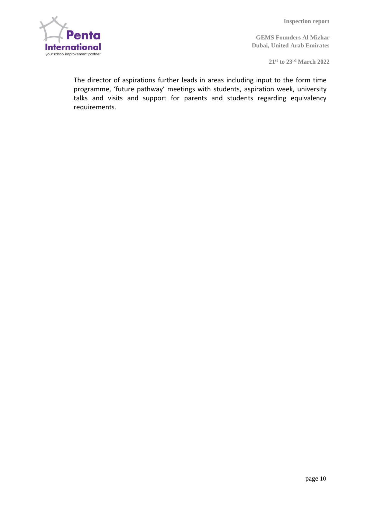

**21 st to 23rd March 2022**

The director of aspirations further leads in areas including input to the form time programme, 'future pathway' meetings with students, aspiration week, university talks and visits and support for parents and students regarding equivalency requirements.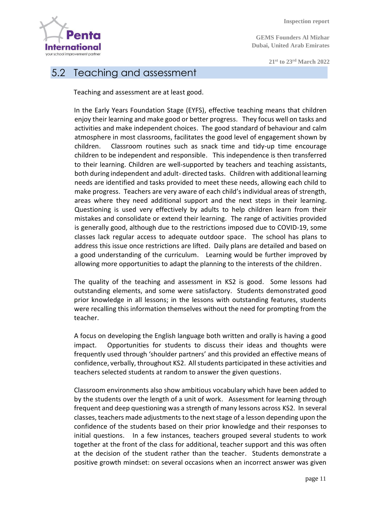**GEMS Founders Al Mizhar Dubai, United Arab Emirates**

**21 st to 23rd March 2022**



#### 5.2 Teaching and assessment

Teaching and assessment are at least good.

In the Early Years Foundation Stage (EYFS), effective teaching means that children enjoy their learning and make good or better progress. They focus well on tasks and activities and make independent choices. The good standard of behaviour and calm atmosphere in most classrooms, facilitates the good level of engagement shown by children. Classroom routines such as snack time and tidy-up time encourage children to be independent and responsible. This independence is then transferred to their learning. Children are well-supported by teachers and teaching assistants, both during independent and adult- directed tasks. Children with additional learning needs are identified and tasks provided to meet these needs, allowing each child to make progress. Teachers are very aware of each child's individual areas of strength, areas where they need additional support and the next steps in their learning. Questioning is used very effectively by adults to help children learn from their mistakes and consolidate or extend their learning. The range of activities provided is generally good, although due to the restrictions imposed due to COVID-19, some classes lack regular access to adequate outdoor space. The school has plans to address this issue once restrictions are lifted. Daily plans are detailed and based on a good understanding of the curriculum. Learning would be further improved by allowing more opportunities to adapt the planning to the interests of the children.

The quality of the teaching and assessment in KS2 is good. Some lessons had outstanding elements, and some were satisfactory. Students demonstrated good prior knowledge in all lessons; in the lessons with outstanding features, students were recalling this information themselves without the need for prompting from the teacher.

A focus on developing the English language both written and orally is having a good impact. Opportunities for students to discuss their ideas and thoughts were frequently used through 'shoulder partners' and this provided an effective means of confidence, verbally, throughout KS2. All students participated in these activities and teachers selected students at random to answer the given questions.

Classroom environments also show ambitious vocabulary which have been added to by the students over the length of a unit of work. Assessment for learning through frequent and deep questioning was a strength of many lessons across KS2. In several classes, teachers made adjustments to the next stage of a lesson depending upon the confidence of the students based on their prior knowledge and their responses to initial questions. In a few instances, teachers grouped several students to work together at the front of the class for additional, teacher support and this was often at the decision of the student rather than the teacher. Students demonstrate a positive growth mindset: on several occasions when an incorrect answer was given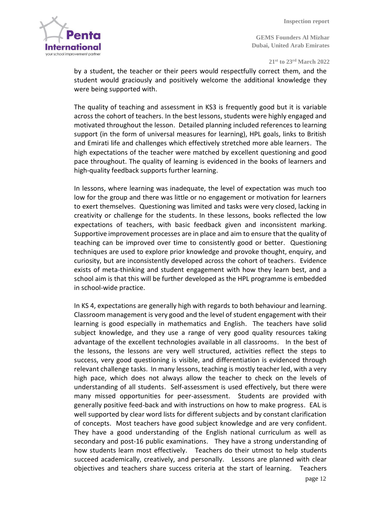

**21 st to 23rd March 2022**

by a student, the teacher or their peers would respectfully correct them, and the student would graciously and positively welcome the additional knowledge they were being supported with.

The quality of teaching and assessment in KS3 is frequently good but it is variable across the cohort of teachers. In the best lessons, students were highly engaged and motivated throughout the lesson. Detailed planning included references to learning support (in the form of universal measures for learning), HPL goals, links to British and Emirati life and challenges which effectively stretched more able learners. The high expectations of the teacher were matched by excellent questioning and good pace throughout. The quality of learning is evidenced in the books of learners and high-quality feedback supports further learning.

In lessons, where learning was inadequate, the level of expectation was much too low for the group and there was little or no engagement or motivation for learners to exert themselves. Questioning was limited and tasks were very closed, lacking in creativity or challenge for the students. In these lessons, books reflected the low expectations of teachers, with basic feedback given and inconsistent marking. Supportive improvement processes are in place and aim to ensure that the quality of teaching can be improved over time to consistently good or better. Questioning techniques are used to explore prior knowledge and provoke thought, enquiry, and curiosity, but are inconsistently developed across the cohort of teachers. Evidence exists of meta-thinking and student engagement with how they learn best, and a school aim is that this will be further developed as the HPL programme is embedded in school-wide practice.

In KS 4, expectations are generally high with regards to both behaviour and learning. Classroom management is very good and the level of student engagement with their learning is good especially in mathematics and English. The teachers have solid subject knowledge, and they use a range of very good quality resources taking advantage of the excellent technologies available in all classrooms. In the best of the lessons, the lessons are very well structured, activities reflect the steps to success, very good questioning is visible, and differentiation is evidenced through relevant challenge tasks. In many lessons, teaching is mostly teacher led, with a very high pace, which does not always allow the teacher to check on the levels of understanding of all students. Self-assessment is used effectively, but there were many missed opportunities for peer-assessment. Students are provided with generally positive feed-back and with instructions on how to make progress. EAL is well supported by clear word lists for different subjects and by constant clarification of concepts. Most teachers have good subject knowledge and are very confident. They have a good understanding of the English national curriculum as well as secondary and post-16 public examinations. They have a strong understanding of how students learn most effectively. Teachers do their utmost to help students succeed academically, creatively, and personally. Lessons are planned with clear objectives and teachers share success criteria at the start of learning. Teachers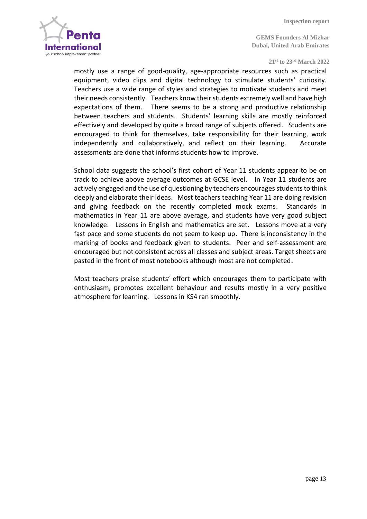

#### **21 st to 23rd March 2022**

mostly use a range of good-quality, age-appropriate resources such as practical equipment, video clips and digital technology to stimulate students' curiosity. Teachers use a wide range of styles and strategies to motivate students and meet their needs consistently. Teachers know their students extremely well and have high expectations of them. There seems to be a strong and productive relationship between teachers and students. Students' learning skills are mostly reinforced effectively and developed by quite a broad range of subjects offered. Students are encouraged to think for themselves, take responsibility for their learning, work independently and collaboratively, and reflect on their learning. Accurate assessments are done that informs students how to improve.

School data suggests the school's first cohort of Year 11 students appear to be on track to achieve above average outcomes at GCSE level. In Year 11 students are actively engaged and the use of questioning by teachers encourages students to think deeply and elaborate their ideas. Most teachers teaching Year 11 are doing revision and giving feedback on the recently completed mock exams. Standards in mathematics in Year 11 are above average, and students have very good subject knowledge. Lessons in English and mathematics are set. Lessons move at a very fast pace and some students do not seem to keep up. There is inconsistency in the marking of books and feedback given to students. Peer and self-assessment are encouraged but not consistent across all classes and subject areas. Target sheets are pasted in the front of most notebooks although most are not completed.

Most teachers praise students' effort which encourages them to participate with enthusiasm, promotes excellent behaviour and results mostly in a very positive atmosphere for learning. Lessons in KS4 ran smoothly.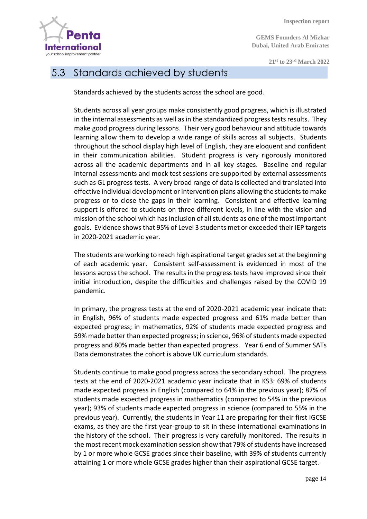**Internationa** your school improvement partne

 **Inspection report**

**GEMS Founders Al Mizhar Dubai, United Arab Emirates**

**21 st to 23rd March 2022**

#### 5.3 Standards achieved by students

Standards achieved by the students across the school are good.

Students across all year groups make consistently good progress, which is illustrated in the internal assessments as well as in the standardized progress tests results. They make good progress during lessons. Their very good behaviour and attitude towards learning allow them to develop a wide range of skills across all subjects. Students throughout the school display high level of English, they are eloquent and confident in their communication abilities. Student progress is very rigorously monitored across all the academic departments and in all key stages. Baseline and regular internal assessments and mock test sessions are supported by external assessments such as GL progress tests. A very broad range of data is collected and translated into effective individual development or intervention plans allowing the students to make progress or to close the gaps in their learning. Consistent and effective learning support is offered to students on three different levels, in line with the vision and mission of the school which has inclusion of all students as one of the most important goals. Evidence shows that 95% of Level 3 students met or exceeded their IEP targets in 2020-2021 academic year.

The students are working to reach high aspirational target grades set at the beginning of each academic year. Consistent self-assessment is evidenced in most of the lessons across the school. The results in the progress tests have improved since their initial introduction, despite the difficulties and challenges raised by the COVID 19 pandemic.

In primary, the progress tests at the end of 2020-2021 academic year indicate that: in English, 96% of students made expected progress and 61% made better than expected progress; in mathematics, 92% of students made expected progress and 59% made better than expected progress; in science, 96% of students made expected progress and 80% made better than expected progress. Year 6 end of Summer SATs Data demonstrates the cohort is above UK curriculum standards.

Students continue to make good progress across the secondary school. The progress tests at the end of 2020-2021 academic year indicate that in KS3: 69% of students made expected progress in English (compared to 64% in the previous year); 87% of students made expected progress in mathematics (compared to 54% in the previous year); 93% of students made expected progress in science (compared to 55% in the previous year). Currently, the students in Year 11 are preparing for their first IGCSE exams, as they are the first year-group to sit in these international examinations in the history of the school. Their progress is very carefully monitored. The results in the most recent mock examination session show that 79% of students have increased by 1 or more whole GCSE grades since their baseline, with 39% of students currently attaining 1 or more whole GCSE grades higher than their aspirational GCSE target.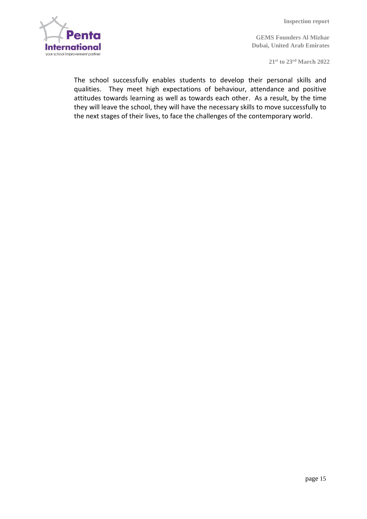

**GEMS Founders Al Mizhar Dubai, United Arab Emirates**

**21 st to 23rd March 2022**

The school successfully enables students to develop their personal skills and qualities. They meet high expectations of behaviour, attendance and positive attitudes towards learning as well as towards each other. As a result, by the time they will leave the school, they will have the necessary skills to move successfully to the next stages of their lives, to face the challenges of the contemporary world.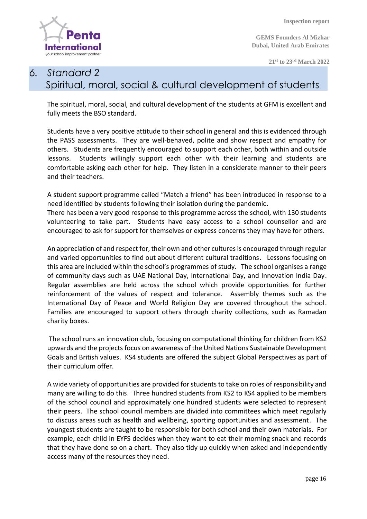**Interna** your school improvement partn

 **Inspection report**

**GEMS Founders Al Mizhar Dubai, United Arab Emirates**

**21 st to 23rd March 2022**

#### *6. Standard 2*  Spiritual, moral, social & cultural development of students

The spiritual, moral, social, and cultural development of the students at GFM is excellent and fully meets the BSO standard.

Students have a very positive attitude to their school in general and this is evidenced through the PASS assessments. They are well-behaved, polite and show respect and empathy for others. Students are frequently encouraged to support each other, both within and outside lessons. Students willingly support each other with their learning and students are comfortable asking each other for help. They listen in a considerate manner to their peers and their teachers.

A student support programme called "Match a friend" has been introduced in response to a need identified by students following their isolation during the pandemic.

There has been a very good response to this programme across the school, with 130 students volunteering to take part. Students have easy access to a school counsellor and are encouraged to ask for support for themselves or express concerns they may have for others.

An appreciation of and respect for, their own and other cultures is encouraged through regular and varied opportunities to find out about different cultural traditions. Lessons focusing on this area are included within the school's programmes of study. The school organises a range of community days such as UAE National Day, International Day, and Innovation India Day. Regular assemblies are held across the school which provide opportunities for further reinforcement of the values of respect and tolerance. Assembly themes such as the International Day of Peace and World Religion Day are covered throughout the school. Families are encouraged to support others through charity collections, such as Ramadan charity boxes.

The school runs an innovation club, focusing on computational thinking for children from KS2 upwards and the projects focus on awareness of the United Nations Sustainable Development Goals and British values. KS4 students are offered the subject Global Perspectives as part of their curriculum offer.

A wide variety of opportunities are provided for students to take on roles of responsibility and many are willing to do this. Three hundred students from KS2 to KS4 applied to be members of the school council and approximately one hundred students were selected to represent their peers. The school council members are divided into committees which meet regularly to discuss areas such as health and wellbeing, sporting opportunities and assessment. The youngest students are taught to be responsible for both school and their own materials. For example, each child in EYFS decides when they want to eat their morning snack and records that they have done so on a chart. They also tidy up quickly when asked and independently access many of the resources they need.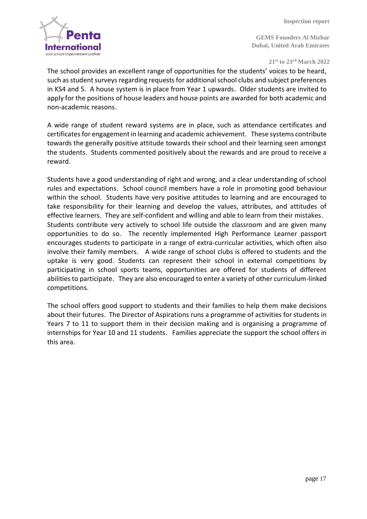

**21 st to 23rd March 2022**

The school provides an excellent range of opportunities for the students' voices to be heard, such as student surveys regarding requests for additional school clubs and subject preferences in KS4 and 5. A house system is in place from Year 1 upwards. Older students are invited to apply for the positions of house leaders and house points are awarded for both academic and non-academic reasons.

A wide range of student reward systems are in place, such as attendance certificates and certificates for engagement in learning and academic achievement. These systems contribute towards the generally positive attitude towards their school and their learning seen amongst the students. Students commented positively about the rewards and are proud to receive a reward.

Students have a good understanding of right and wrong, and a clear understanding of school rules and expectations. School council members have a role in promoting good behaviour within the school. Students have very positive attitudes to learning and are encouraged to take responsibility for their learning and develop the values, attributes, and attitudes of effective learners. They are self-confident and willing and able to learn from their mistakes. Students contribute very actively to school life outside the classroom and are given many opportunities to do so. The recently implemented High Performance Learner passport encourages students to participate in a range of extra-curricular activities, which often also involve their family members. A wide range of school clubs is offered to students and the uptake is very good. Students can represent their school in external competitions by participating in school sports teams, opportunities are offered for students of different abilities to participate. They are also encouraged to enter a variety of other curriculum-linked competitions.

The school offers good support to students and their families to help them make decisions about their futures. The Director of Aspirations runs a programme of activities for students in Years 7 to 11 to support them in their decision making and is organising a programme of internships for Year 10 and 11 students. Families appreciate the support the school offers in this area.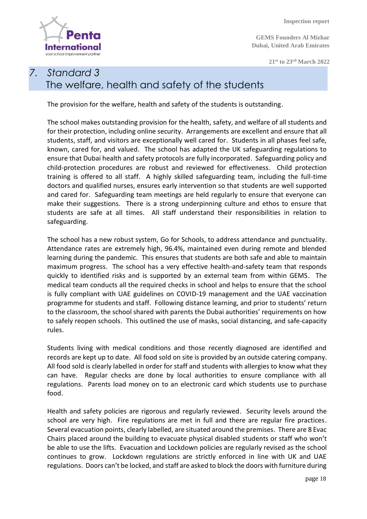

**GEMS Founders Al Mizhar Dubai, United Arab Emirates**

**21 st to 23rd March 2022**

#### *7. Standard 3* The welfare, health and safety of the students

The provision for the welfare, health and safety of the students is outstanding.

The school makes outstanding provision for the health, safety, and welfare of all students and for their protection, including online security. Arrangements are excellent and ensure that all students, staff, and visitors are exceptionally well cared for. Students in all phases feel safe, known, cared for, and valued. The school has adapted the UK safeguarding regulations to ensure that Dubai health and safety protocols are fully incorporated. Safeguarding policy and child-protection procedures are robust and reviewed for effectiveness. Child protection training is offered to all staff. A highly skilled safeguarding team, including the full-time doctors and qualified nurses, ensures early intervention so that students are well supported and cared for. Safeguarding team meetings are held regularly to ensure that everyone can make their suggestions. There is a strong underpinning culture and ethos to ensure that students are safe at all times. All staff understand their responsibilities in relation to safeguarding.

The school has a new robust system, Go for Schools, to address attendance and punctuality. Attendance rates are extremely high, 96.4%, maintained even during remote and blended learning during the pandemic. This ensures that students are both safe and able to maintain maximum progress. The school has a very effective health-and-safety team that responds quickly to identified risks and is supported by an external team from within GEMS. The medical team conducts all the required checks in school and helps to ensure that the school is fully compliant with UAE guidelines on COVID-19 management and the UAE vaccination programme for students and staff. Following distance learning, and prior to students' return to the classroom, the school shared with parents the Dubai authorities' requirements on how to safely reopen schools. This outlined the use of masks, social distancing, and safe-capacity rules.

Students living with medical conditions and those recently diagnosed are identified and records are kept up to date. All food sold on site is provided by an outside catering company. All food sold is clearly labelled in order for staff and students with allergies to know what they can have. Regular checks are done by local authorities to ensure compliance with all regulations. Parents load money on to an electronic card which students use to purchase food.

Health and safety policies are rigorous and regularly reviewed. Security levels around the school are very high. Fire regulations are met in full and there are regular fire practices. Several evacuation points, clearly labelled, are situated around the premises. There are 8 Evac Chairs placed around the building to evacuate physical disabled students or staff who won't be able to use the lifts. Evacuation and Lockdown policies are regularly revised as the school continues to grow. Lockdown regulations are strictly enforced in line with UK and UAE regulations. Doors can't be locked, and staff are asked to block the doors with furniture during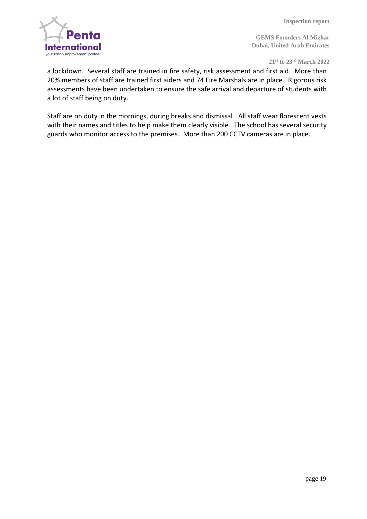

**21 st to 23rd March 2022**

a lockdown. Several staff are trained in fire safety, risk assessment and first aid. More than 20% members of staff are trained first aiders and 74 Fire Marshals are in place. Rigorous risk assessments have been undertaken to ensure the safe arrival and departure of students with a lot of staff being on duty.

Staff are on duty in the mornings, during breaks and dismissal. All staff wear florescent vests with their names and titles to help make them clearly visible. The school has several security guards who monitor access to the premises. More than 200 CCTV cameras are in place.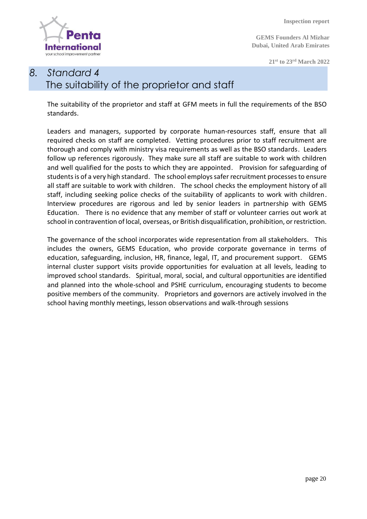

**GEMS Founders Al Mizhar Dubai, United Arab Emirates**

**21 st to 23rd March 2022**

#### *8. Standard 4* The suitability of the proprietor and staff

The suitability of the proprietor and staff at GFM meets in full the requirements of the BSO standards.

Leaders and managers, supported by corporate human-resources staff, ensure that all required checks on staff are completed. Vetting procedures prior to staff recruitment are thorough and comply with ministry visa requirements as well as the BSO standards. Leaders follow up references rigorously. They make sure all staff are suitable to work with children and well qualified for the posts to which they are appointed. Provision for safeguarding of students is of a very high standard. The school employs safer recruitment processes to ensure all staff are suitable to work with children. The school checks the employment history of all staff, including seeking police checks of the suitability of applicants to work with children. Interview procedures are rigorous and led by senior leaders in partnership with GEMS Education. There is no evidence that any member of staff or volunteer carries out work at school in contravention of local, overseas, or British disqualification, prohibition, or restriction.

The governance of the school incorporates wide representation from all stakeholders. This includes the owners, GEMS Education, who provide corporate governance in terms of education, safeguarding, inclusion, HR, finance, legal, IT, and procurement support. GEMS internal cluster support visits provide opportunities for evaluation at all levels, leading to improved school standards. Spiritual, moral, social, and cultural opportunities are identified and planned into the whole-school and PSHE curriculum, encouraging students to become positive members of the community. Proprietors and governors are actively involved in the school having monthly meetings, lesson observations and walk-through sessions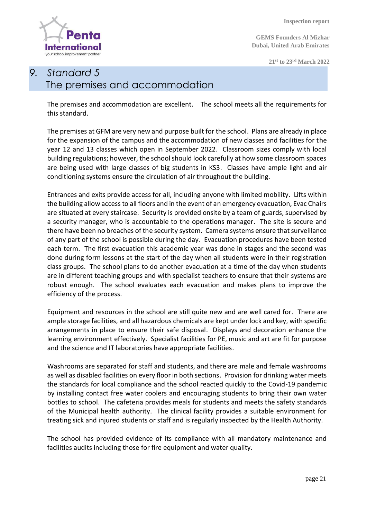**Internat** 

your school improvement partn

 **Inspection report**

**GEMS Founders Al Mizhar Dubai, United Arab Emirates**

**21 st to 23rd March 2022**

#### *9. Standard 5* The premises and accommodation

The premises and accommodation are excellent. The school meets all the requirements for this standard.

The premises at GFM are very new and purpose built for the school. Plans are already in place for the expansion of the campus and the accommodation of new classes and facilities for the year 12 and 13 classes which open in September 2022. Classroom sizes comply with local building regulations; however, the school should look carefully at how some classroom spaces are being used with large classes of big students in KS3. Classes have ample light and air conditioning systems ensure the circulation of air throughout the building.

Entrances and exits provide access for all, including anyone with limited mobility. Lifts within the building allow access to all floors and in the event of an emergency evacuation, Evac Chairs are situated at every staircase. Security is provided onsite by a team of guards, supervised by a security manager, who is accountable to the operations manager. The site is secure and there have been no breaches of the security system. Camera systems ensure that surveillance of any part of the school is possible during the day. Evacuation procedures have been tested each term. The first evacuation this academic year was done in stages and the second was done during form lessons at the start of the day when all students were in their registration class groups. The school plans to do another evacuation at a time of the day when students are in different teaching groups and with specialist teachers to ensure that their systems are robust enough. The school evaluates each evacuation and makes plans to improve the efficiency of the process.

Equipment and resources in the school are still quite new and are well cared for. There are ample storage facilities, and all hazardous chemicals are kept under lock and key, with specific arrangements in place to ensure their safe disposal. Displays and decoration enhance the learning environment effectively. Specialist facilities for PE, music and art are fit for purpose and the science and IT laboratories have appropriate facilities.

Washrooms are separated for staff and students, and there are male and female washrooms as well as disabled facilities on every floor in both sections. Provision for drinking water meets the standards for local compliance and the school reacted quickly to the Covid-19 pandemic by installing contact free water coolers and encouraging students to bring their own water bottles to school. The cafeteria provides meals for students and meets the safety standards of the Municipal health authority. The clinical facility provides a suitable environment for treating sick and injured students or staff and is regularly inspected by the Health Authority.

The school has provided evidence of its compliance with all mandatory maintenance and facilities audits including those for fire equipment and water quality.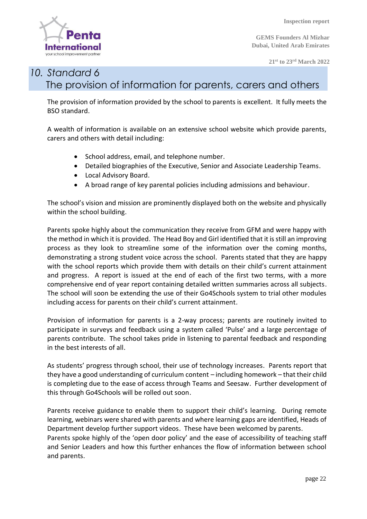

**21 st to 23rd March 2022**

#### *10. Standard 6* The provision of information for parents, carers and others

The provision of information provided by the school to parents is excellent. It fully meets the BSO standard.

A wealth of information is available on an extensive school website which provide parents, carers and others with detail including:

- School address, email, and telephone number.
- Detailed biographies of the Executive, Senior and Associate Leadership Teams.
- Local Advisory Board.
- A broad range of key parental policies including admissions and behaviour.

The school's vision and mission are prominently displayed both on the website and physically within the school building.

Parents spoke highly about the communication they receive from GFM and were happy with the method in which it is provided. The Head Boy and Girl identified that it is still an improving process as they look to streamline some of the information over the coming months, demonstrating a strong student voice across the school. Parents stated that they are happy with the school reports which provide them with details on their child's current attainment and progress. A report is issued at the end of each of the first two terms, with a more comprehensive end of year report containing detailed written summaries across all subjects. The school will soon be extending the use of their Go4Schools system to trial other modules including access for parents on their child's current attainment.

Provision of information for parents is a 2-way process; parents are routinely invited to participate in surveys and feedback using a system called 'Pulse' and a large percentage of parents contribute. The school takes pride in listening to parental feedback and responding in the best interests of all.

As students' progress through school, their use of technology increases. Parents report that they have a good understanding of curriculum content – including homework – that their child is completing due to the ease of access through Teams and Seesaw. Further development of this through Go4Schools will be rolled out soon.

Parents receive guidance to enable them to support their child's learning. During remote learning, webinars were shared with parents and where learning gaps are identified, Heads of Department develop further support videos. These have been welcomed by parents.

Parents spoke highly of the 'open door policy' and the ease of accessibility of teaching staff and Senior Leaders and how this further enhances the flow of information between school and parents.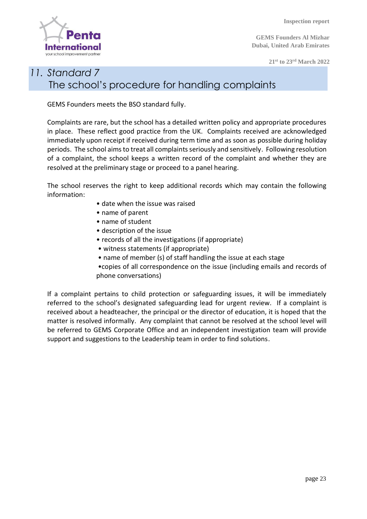

**GEMS Founders Al Mizhar Dubai, United Arab Emirates**

**21 st to 23rd March 2022**

#### *11. Standard 7* The school's procedure for handling complaints

GEMS Founders meets the BSO standard fully.

Complaints are rare, but the school has a detailed written policy and appropriate procedures in place. These reflect good practice from the UK. Complaints received are acknowledged immediately upon receipt if received during term time and as soon as possible during holiday periods. The school aims to treat all complaints seriously and sensitively. Following resolution of a complaint, the school keeps a written record of the complaint and whether they are resolved at the preliminary stage or proceed to a panel hearing.

The school reserves the right to keep additional records which may contain the following information:

- date when the issue was raised
- name of parent
- name of student
- description of the issue
- records of all the investigations (if appropriate)
- witness statements (if appropriate)
- name of member (s) of staff handling the issue at each stage

•copies of all correspondence on the issue (including emails and records of phone conversations)

If a complaint pertains to child protection or safeguarding issues, it will be immediately referred to the school's designated safeguarding lead for urgent review. If a complaint is received about a headteacher, the principal or the director of education, it is hoped that the matter is resolved informally. Any complaint that cannot be resolved at the school level will be referred to GEMS Corporate Office and an independent investigation team will provide support and suggestions to the Leadership team in order to find solutions.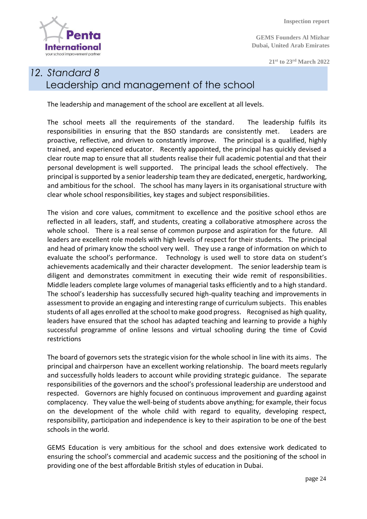**Interna** your school improvement partn

 **Inspection report**

**GEMS Founders Al Mizhar Dubai, United Arab Emirates**

**21 st to 23rd March 2022**

#### *12. Standard 8* Leadership and management of the school

The leadership and management of the school are excellent at all levels.

The school meets all the requirements of the standard. The leadership fulfils its responsibilities in ensuring that the BSO standards are consistently met. Leaders are proactive, reflective, and driven to constantly improve. The principal is a qualified, highly trained, and experienced educator. Recently appointed, the principal has quickly devised a clear route map to ensure that all students realise their full academic potential and that their personal development is well supported. The principal leads the school effectively. The principal is supported by a senior leadership team they are dedicated, energetic, hardworking, and ambitious for the school. The school has many layers in its organisational structure with clear whole school responsibilities, key stages and subject responsibilities.

The vision and core values, commitment to excellence and the positive school ethos are reflected in all leaders, staff, and students, creating a collaborative atmosphere across the whole school. There is a real sense of common purpose and aspiration for the future. All leaders are excellent role models with high levels of respect for their students. The principal and head of primary know the school very well. They use a range of information on which to evaluate the school's performance. Technology is used well to store data on student's achievements academically and their character development. The senior leadership team is diligent and demonstrates commitment in executing their wide remit of responsibilities. Middle leaders complete large volumes of managerial tasks efficiently and to a high standard. The school's leadership has successfully secured high-quality teaching and improvements in assessment to provide an engaging and interesting range of curriculum subjects. This enables students of all ages enrolled at the school to make good progress. Recognised as high quality, leaders have ensured that the school has adapted teaching and learning to provide a highly successful programme of online lessons and virtual schooling during the time of Covid restrictions

The board of governors sets the strategic vision for the whole school in line with its aims. The principal and chairperson have an excellent working relationship. The board meets regularly and successfully holds leaders to account while providing strategic guidance. The separate responsibilities of the governors and the school's professional leadership are understood and respected. Governors are highly focused on continuous improvement and guarding against complacency. They value the well-being of students above anything; for example, their focus on the development of the whole child with regard to equality, developing respect, responsibility, participation and independence is key to their aspiration to be one of the best schools in the world.

GEMS Education is very ambitious for the school and does extensive work dedicated to ensuring the school's commercial and academic success and the positioning of the school in providing one of the best affordable British styles of education in Dubai.